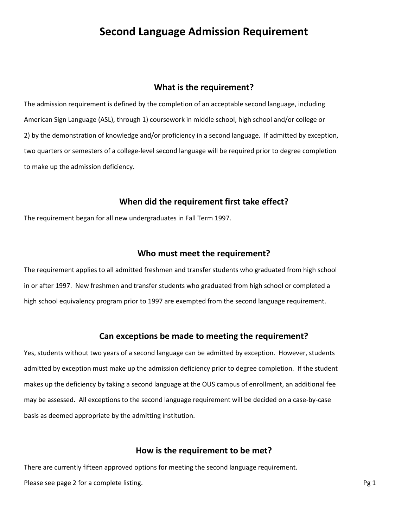# **Second Language Admission Requirement**

#### **What is the requirement?**

The admission requirement is defined by the completion of an acceptable second language, including American Sign Language (ASL), through 1) coursework in middle school, high school and/or college or 2) by the demonstration of knowledge and/or proficiency in a second language. If admitted by exception, two quarters or semesters of a college-level second language will be required prior to degree completion to make up the admission deficiency.

# **When did the requirement first take effect?**

The requirement began for all new undergraduates in Fall Term 1997.

#### **Who must meet the requirement?**

The requirement applies to all admitted freshmen and transfer students who graduated from high school in or after 1997. New freshmen and transfer students who graduated from high school or completed a high school equivalency program prior to 1997 are exempted from the second language requirement.

# **Can exceptions be made to meeting the requirement?**

Yes, students without two years of a second language can be admitted by exception. However, students admitted by exception must make up the admission deficiency prior to degree completion. If the student makes up the deficiency by taking a second language at the OUS campus of enrollment, an additional fee may be assessed. All exceptions to the second language requirement will be decided on a case-by-case basis as deemed appropriate by the admitting institution.

#### **How is the requirement to be met?**

There are currently fifteen approved options for meeting the second language requirement. Please see page 2 for a complete listing. Pg 1